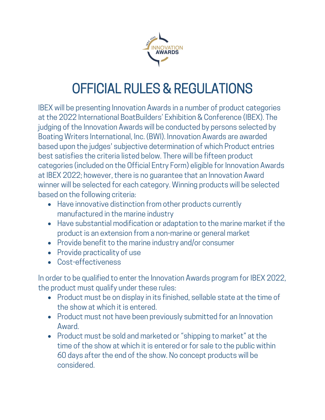

## OFFICIAL RULES & REGULATIONS

IBEX will be presenting Innovation Awards in a number of product categories at the 2022 International BoatBuilders' Exhibition & Conference (IBEX). The judging of the Innovation Awards will be conducted by persons selected by Boating Writers International, Inc. (BWI). Innovation Awards are awarded based upon the judges' subjective determination of which Product entries best satisfies the criteria listed below. There will be fifteen product categories (included on the Official Entry Form) eligible for Innovation Awards at IBEX 2022; however, there is no guarantee that an Innovation Award winner will be selected for each category. Winning products will be selected based on the following criteria:

- Have innovative distinction from other products currently manufactured in the marine industry
- Have substantial modification or adaptation to the marine market if the product is an extension from a non-marine or general market
- Provide benefit to the marine industry and/or consumer
- Provide practicality of use
- Cost-effectiveness

In order to be qualified to enter the Innovation Awards program for IBEX 2022, the product must qualify under these rules:

- Product must be on display in its finished, sellable state at the time of the show at which it is entered.
- Product must not have been previously submitted for an Innovation Award.
- Product must be sold and marketed or "shipping to market" at the time of the show at which it is entered or for sale to the public within 60 days after the end of the show. No concept products will be considered.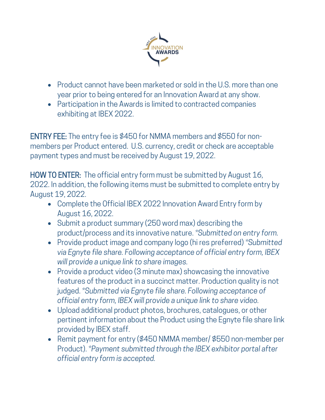

- Product cannot have been marketed or sold in the U.S. more than one year prior to being entered for an Innovation Award at any show.
- Participation in the Awards is limited to contracted companies exhibiting at IBEX 2022.

ENTRY FEE: The entry fee is \$450 for NMMA members and \$550 for nonmembers per Product entered. U.S. currency, credit or check are acceptable payment types and must be received by August 19, 2022.

HOW TO ENTER: The official entry form must be submitted by August 16, 2022. In addition, the following items must be submitted to complete entry by August 19, 2022.

- Complete the Official IBEX 2022 Innovation Award Entry form by August 16, 2022.
- Submit a product summary (250 word max) describing the product/process and its innovative nature. *\*Submitted on entry form.*
- Provide product image and company logo (hi res preferred) *\*Submitted via Egnyte file share. Following acceptance of official entry form, IBEX will provide a unique link to share images.*
- Provide a product video (3 minute max) showcasing the innovative features of the product in a succinct matter. Production quality is not judged. *\*Submitted via Egnyte file share. Following acceptance of official entry form, IBEX will provide a unique link to share video.*
- Upload additional product photos, brochures, catalogues, or other pertinent information about the Product using the Egnyte file share link provided by IBEX staff.
- Remit payment for entry (\$450 NMMA member/ \$550 non-member per Product). *\*Payment submitted through the IBEX exhibitor portal after official entry form is accepted.*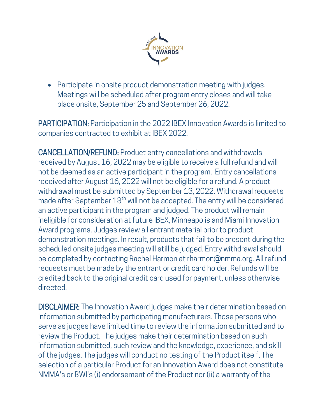

• Participate in onsite product demonstration meeting with judges. Meetings will be scheduled after program entry closes and will take place onsite, September 25 and September 26, 2022.

PARTICIPATION: Participation in the 2022 IBEX Innovation Awards is limited to companies contracted to exhibit at IBEX 2022.

CANCELLATION/REFUND: Product entry cancellations and withdrawals received by August 16, 2022 may be eligible to receive a full refund and will not be deemed as an active participant in the program. Entry cancellations received after August 16, 2022 will not be eligible for a refund. A product withdrawal must be submitted by September 13, 2022. Withdrawal requests made after September 13<sup>th</sup> will not be accepted. The entry will be considered an active participant in the program and judged. The product will remain ineligible for consideration at future IBEX, Minneapolis and Miami Innovation Award programs. Judges review all entrant material prior to product demonstration meetings. In result, products that fail to be present during the scheduled onsite judges meeting will still be judged. Entry withdrawal should be completed by contacting Rachel Harmon at rharmon@nmma.org. All refund requests must be made by the entrant or credit card holder. Refunds will be credited back to the original credit card used for payment, unless otherwise directed.

DISCLAIMER: The Innovation Award judges make their determination based on information submitted by participating manufacturers. Those persons who serve as judges have limited time to review the information submitted and to review the Product. The judges make their determination based on such information submitted, such review and the knowledge, experience, and skill of the judges. The judges will conduct no testing of the Product itself. The selection of a particular Product for an Innovation Award does not constitute NMMA's or BWI's (i) endorsement of the Product nor (ii) a warranty of the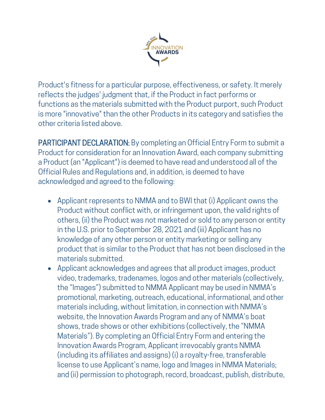

Product's fitness for a particular purpose, effectiveness, or safety. It merely reflects the judges' judgment that, if the Product in fact performs or functions as the materials submitted with the Product purport, such Product is more "innovative" than the other Products in its category and satisfies the other criteria listed above.

PARTICIPANT DECLARATION: By completing an Official Entry Form to submit a Product for consideration for an Innovation Award, each company submitting a Product (an "Applicant") is deemed to have read and understood all of the Official Rules and Regulations and, in addition, is deemed to have acknowledged and agreed to the following:

- Applicant represents to NMMA and to BWI that (i) Applicant owns the Product without conflict with, or infringement upon, the valid rights of others, (ii) the Product was not marketed or sold to any person or entity in the U.S. prior to September 28, 2021 and (iii) Applicant has no knowledge of any other person or entity marketing or selling any product that is similar to the Product that has not been disclosed in the materials submitted.
- Applicant acknowledges and agrees that all product images, product video, trademarks, tradenames, logos and other materials (collectively, the "Images") submitted to NMMA Applicant may be used in NMMA's promotional, marketing, outreach, educational, informational, and other materials including, without limitation, in connection with NMMA's website, the Innovation Awards Program and any of NMMA's boat shows, trade shows or other exhibitions (collectively, the "NMMA Materials"). By completing an Official Entry Form and entering the Innovation Awards Program, Applicant irrevocably grants NMMA (including its affiliates and assigns) (i) a royalty-free, transferable license to use Applicant's name, logo and Images in NMMA Materials; and (ii) permission to photograph, record, broadcast, publish, distribute,